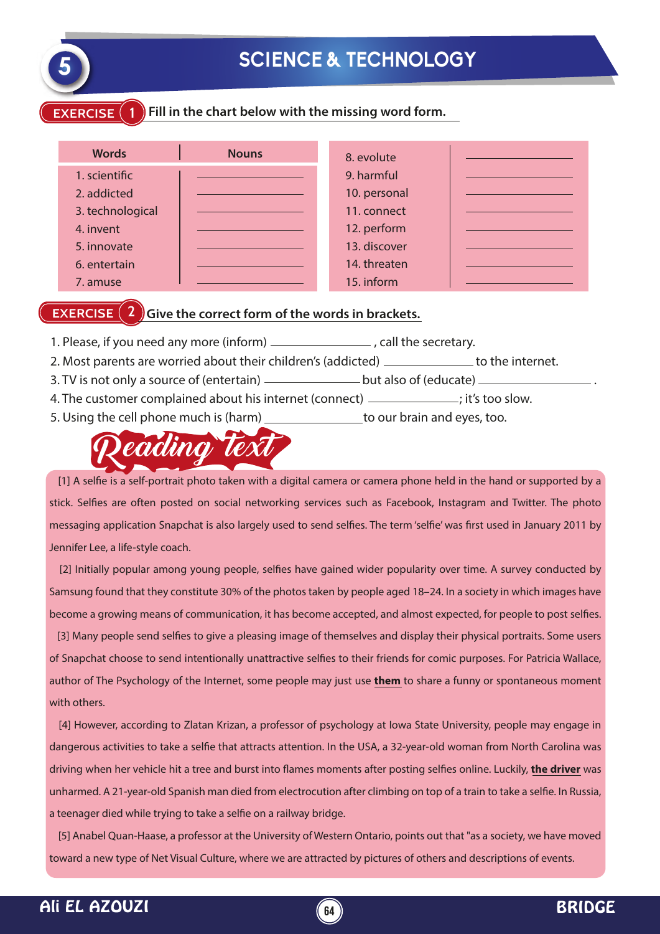

# **5 SCIENCE & TECHNOLOGY**

#### **EXERCISE 1 Fill in the chart below with the missing word form.**

| <b>Words</b>     | <b>Nouns</b> | 8. evolute   |  |
|------------------|--------------|--------------|--|
| 1. scientific    |              | 9. harmful   |  |
| 2. addicted      |              | 10. personal |  |
| 3. technological |              | 11. connect  |  |
| 4. invent        |              | 12. perform  |  |
| 5. innovate      |              | 13. discover |  |
| 6. entertain     |              | 14. threaten |  |
| 7. amuse         |              | 15. inform   |  |

### **EXERCISE** (2) Give the correct form of the words in brackets.

- 1. Please, if you need any more (inform)  $\frac{1}{1}$   $\frac{1}{1}$  . Call the secretary.
- 2. Most parents are worried about their children's (addicted) \_\_\_\_\_\_\_\_\_\_\_\_\_\_ to the internet.
- 3. TV is not only a source of (entertain)  $\frac{1}{1}$  but also of (educate)  $\frac{1}{1}$
- 4. The customer complained about his internet (connect) \_\_\_\_\_\_\_\_\_\_\_\_\_\_; it's too slow.
- 5. Using the cell phone much is (harm) \_\_\_\_\_\_\_\_\_\_\_\_\_\_\_\_ to our brain and eyes, too.



[1] A selfie is a self-portrait photo taken with a digital camera or camera phone held in the hand or supported by a stick. Selfies are often posted on social networking services such as Facebook, Instagram and Twitter. The photo messaging application Snapchat is also largely used to send selfies. The term 'selfie' was first used in January 2011 by Jennifer Lee, a life-style coach.

[2] Initially popular among young people, selfies have gained wider popularity over time. A survey conducted by Samsung found that they constitute 30% of the photos taken by people aged 18–24. In a society in which images have become a growing means of communication, it has become accepted, and almost expected, for people to post selfies.

[3] Many people send selfies to give a pleasing image of themselves and display their physical portraits. Some users of Snapchat choose to send intentionally unattractive selfies to their friends for comic purposes. For Patricia Wallace, author of The Psychology of the Internet, some people may just use **them** to share a funny or spontaneous moment with others.

 [4] However, according to Zlatan Krizan, a professor of psychology at Iowa State University, people may engage in dangerous activities to take a selfie that attracts attention. In the USA, a 32-year-old woman from North Carolina was driving when her vehicle hit a tree and burst into flames moments after posting selfies online. Luckily, the driver was unharmed. A 21-year-old Spanish man died from electrocution after climbing on top of a train to take a selfie. In Russia, a teenager died while trying to take a selfie on a railway bridge.

 [5] Anabel Quan-Haase, a professor at the University of Western Ontario, points out that "as a society, we have moved toward a new type of Net Visual Culture, where we are attracted by pictures of others and descriptions of events.

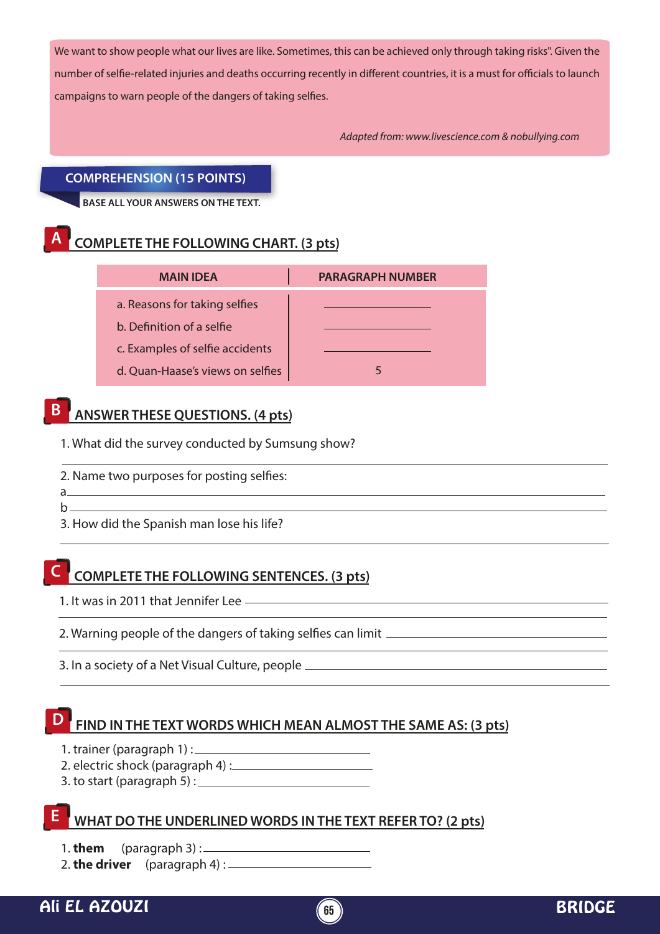We want to show people what our lives are like. Sometimes, this can be achieved only through taking risks". Given the number of selfie-related injuries and deaths occurring recently in different countries, it is a must for officials to launch campaigns to warn people of the dangers of taking selfies.

*Adapted from: www.livescience.com & nobullying.com*

#### **COMPREHENSION (15 POINTS)**

**BASE ALL YOUR ANSWERS ON THE TEXT.**

## **A COMPLETE THE FOLLOWING CHART. (3 pts)**

| <b>MAIN IDEA</b>                 | <b>PARAGRAPH NUMBER</b> |  |
|----------------------------------|-------------------------|--|
| a. Reasons for taking selfies    |                         |  |
| b. Definition of a selfie        |                         |  |
| c. Examples of selfie accidents  |                         |  |
| d. Quan-Haase's views on selfies |                         |  |

## **B ANSWER THESE QUESTIONS. (4 pts)**

1. What did the survey conducted by Sumsung show?

- 2. Name two purposes for posting selfies:
- a  $b$ <sub>1</sub>

3. How did the Spanish man lose his life?

### **C COMPLETE THE FOLLOWING SENTENCES. (3 pts)**

1. It was in 2011 that Jennifer Lee

2. Warning people of the dangers of taking selfies can limit

3. In a society of a Net Visual Culture, people

### **FIND IN THE TEXT WORDS WHICH MEAN ALMOST THE SAME AS: (3 pts)**

- 1. trainer (paragraph 1) :
- 2. electric shock (paragraph 4) :
- 3. to start (paragraph 5) :

### **WHAT DO THE UNDERLINED WORDS IN THE TEXT REFER TO? (2 pts)**

1. **them** (paragraph 3) :

2. **the driver** (paragraph 4) :